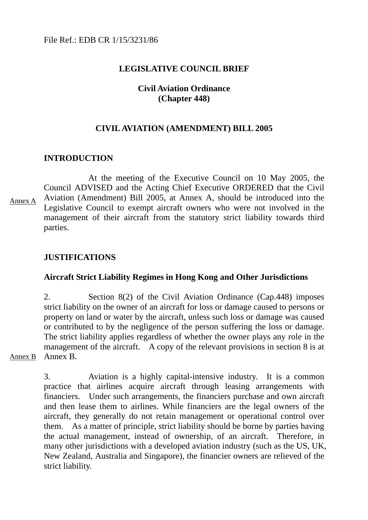#### **LEGISLATIVE COUNCIL BRIEF**

#### **Civil Aviation Ordinance (Chapter 448)**

#### **CIVIL AVIATION (AMENDMENT) BILL 2005**

#### **INTRODUCTION**

 At the meeting of the Executive Council on 10 May 2005, the Council ADVISED and the Acting Chief Executive ORDERED that the Civil Aviation (Amendment) Bill 2005, at Annex A, should be introduced into the Legislative Council to exempt aircraft owners who were not involved in the management of their aircraft from the statutory strict liability towards third parties. Annex A

#### **JUSTIFICATIONS**

#### **Aircraft Strict Liability Regimes in Hong Kong and Other Jurisdictions**

2. Section 8(2) of the Civil Aviation Ordinance (Cap.448) imposes strict liability on the owner of an aircraft for loss or damage caused to persons or property on land or water by the aircraft, unless such loss or damage was caused or contributed to by the negligence of the person suffering the loss or damage. The strict liability applies regardless of whether the owner plays any role in the management of the aircraft. A copy of the relevant provisions in section 8 is at Annex B.

Annex B

3. Aviation is a highly capital-intensive industry. It is a common practice that airlines acquire aircraft through leasing arrangements with financiers. Under such arrangements, the financiers purchase and own aircraft and then lease them to airlines. While financiers are the legal owners of the aircraft, they generally do not retain management or operational control over them. As a matter of principle, strict liability should be borne by parties having the actual management, instead of ownership, of an aircraft. Therefore, in many other jurisdictions with a developed aviation industry (such as the US, UK, New Zealand, Australia and Singapore), the financier owners are relieved of the strict liability.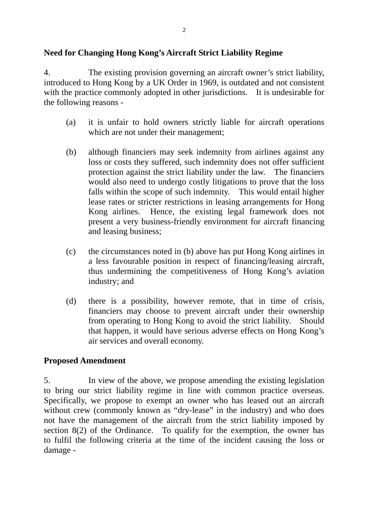# **Need for Changing Hong Kong's Aircraft Strict Liability Regime**

4. The existing provision governing an aircraft owner's strict liability, introduced to Hong Kong by a UK Order in 1969, is outdated and not consistent with the practice commonly adopted in other jurisdictions. It is undesirable for the following reasons -

- (a) it is unfair to hold owners strictly liable for aircraft operations which are not under their management;
- (b) although financiers may seek indemnity from airlines against any loss or costs they suffered, such indemnity does not offer sufficient protection against the strict liability under the law. The financiers would also need to undergo costly litigations to prove that the loss falls within the scope of such indemnity. This would entail higher lease rates or stricter restrictions in leasing arrangements for Hong Kong airlines. Hence, the existing legal framework does not present a very business-friendly environment for aircraft financing and leasing business;
- (c) the circumstances noted in (b) above has put Hong Kong airlines in a less favourable position in respect of financing/leasing aircraft, thus undermining the competitiveness of Hong Kong's aviation industry; and
- (d) there is a possibility, however remote, that in time of crisis, financiers may choose to prevent aircraft under their ownership from operating to Hong Kong to avoid the strict liability. Should that happen, it would have serious adverse effects on Hong Kong's air services and overall economy.

## **Proposed Amendment**

5. In view of the above, we propose amending the existing legislation to bring our strict liability regime in line with common practice overseas. Specifically, we propose to exempt an owner who has leased out an aircraft without crew (commonly known as "dry-lease" in the industry) and who does not have the management of the aircraft from the strict liability imposed by section 8(2) of the Ordinance. To qualify for the exemption, the owner has to fulfil the following criteria at the time of the incident causing the loss or damage -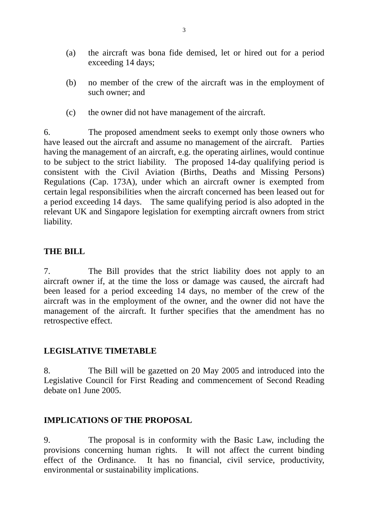- (a) the aircraft was bona fide demised, let or hired out for a period exceeding 14 days;
- (b) no member of the crew of the aircraft was in the employment of such owner; and
- (c) the owner did not have management of the aircraft.

6. The proposed amendment seeks to exempt only those owners who have leased out the aircraft and assume no management of the aircraft. Parties having the management of an aircraft, e.g. the operating airlines, would continue to be subject to the strict liability. The proposed 14-day qualifying period is consistent with the Civil Aviation (Births, Deaths and Missing Persons) Regulations (Cap. 173A), under which an aircraft owner is exempted from certain legal responsibilities when the aircraft concerned has been leased out for a period exceeding 14 days. The same qualifying period is also adopted in the relevant UK and Singapore legislation for exempting aircraft owners from strict liability.

## **THE BILL**

7. The Bill provides that the strict liability does not apply to an aircraft owner if, at the time the loss or damage was caused, the aircraft had been leased for a period exceeding 14 days, no member of the crew of the aircraft was in the employment of the owner, and the owner did not have the management of the aircraft. It further specifies that the amendment has no retrospective effect.

## **LEGISLATIVE TIMETABLE**

8. The Bill will be gazetted on 20 May 2005 and introduced into the Legislative Council for First Reading and commencement of Second Reading debate on1 June 2005.

## **IMPLICATIONS OF THE PROPOSAL**

9. The proposal is in conformity with the Basic Law, including the provisions concerning human rights. It will not affect the current binding effect of the Ordinance. It has no financial, civil service, productivity, environmental or sustainability implications.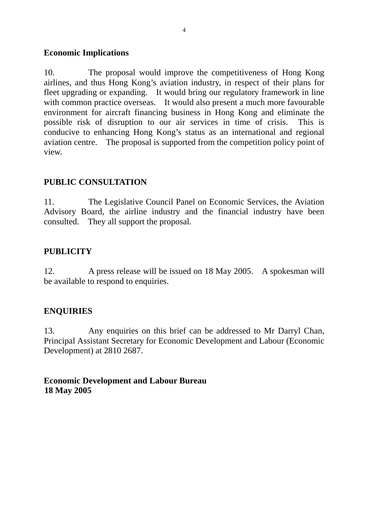#### **Economic Implications**

10. The proposal would improve the competitiveness of Hong Kong airlines, and thus Hong Kong's aviation industry, in respect of their plans for fleet upgrading or expanding. It would bring our regulatory framework in line with common practice overseas. It would also present a much more favourable environment for aircraft financing business in Hong Kong and eliminate the possible risk of disruption to our air services in time of crisis. This is conducive to enhancing Hong Kong's status as an international and regional aviation centre. The proposal is supported from the competition policy point of view.

## **PUBLIC CONSULTATION**

11. The Legislative Council Panel on Economic Services, the Aviation Advisory Board, the airline industry and the financial industry have been consulted. They all support the proposal.

# **PUBLICITY**

12. A press release will be issued on 18 May 2005. A spokesman will be available to respond to enquiries.

## **ENQUIRIES**

13. Any enquiries on this brief can be addressed to Mr Darryl Chan, Principal Assistant Secretary for Economic Development and Labour (Economic Development) at 2810 2687.

# **Economic Development and Labour Bureau 18 May 2005**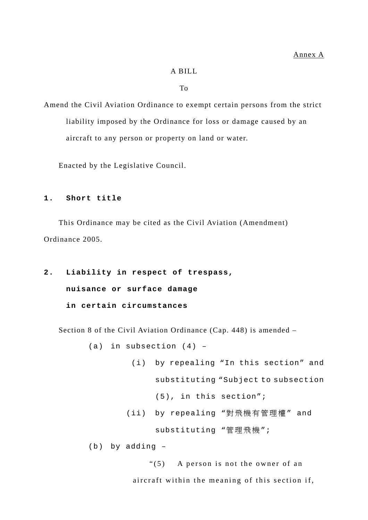#### A BILL

To

Amend the Civil Aviation Ordinance to exempt certain persons from the strict liability imposed by the Ordinance for loss or damage caused by an aircraft to any person or property on land or water.

Enacted by the Legislative Council.

#### **1. Short title**

 This Ordinance may be cited as the Civil Aviation (Amendment) Ordinance 2005.

**2. Liability in respect of trespass, nuisance or surface damage in certain circumstances** 

Section 8 of the Civil Aviation Ordinance (Cap. 448) is amended –

(a) in subsection (4) – (i) by repealing "In this section" and substituting "Subject to subsection (5), in this section"; (ii) by repealing "對飛機有管理權 " and substituting "管理飛機";

(b) by adding –

 "(5) A person is not the owner of an aircraft within the meaning of this section if,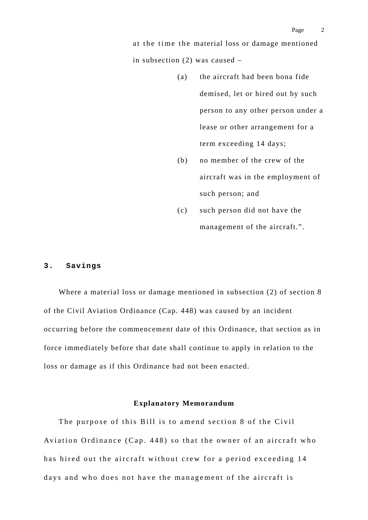at the time the material loss or damage mentioned in subsection (2) was caused –

- (a) the aircraft had been bona fide demised, let or hired out by such person to any other person under a lease or other arrangement for a term exceeding 14 days;
- (b) no member of the crew of the aircraft was in the employment of such person; and
- (c) such person did not have the management of the aircraft.".

#### **3. Savings**

 Where a material loss or damage mentioned in subsection (2) of section 8 of the Civil Aviation Ordinance (Cap. 448) was caused by an incident occurring before the commencement date of this Ordinance, that section as in force immediately before that date shall continue to apply in relation to the loss or damage as if this Ordinance had not been enacted.

#### **Explanatory Memorandum**

 The purpose of this Bill is to amend section 8 of the Civil Aviation Ordinance (Cap. 448) so that the owner of an aircraft who has hired out the aircraft without crew for a period exceeding 14 days and who does not have the management of the aircraft is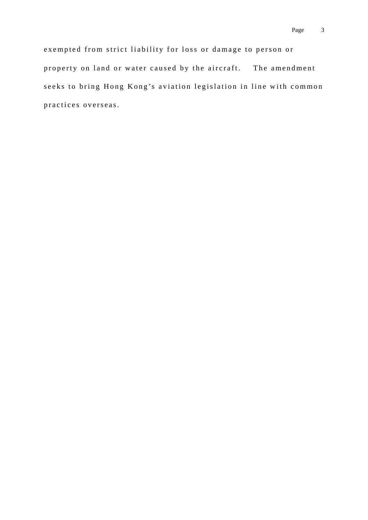exempted from strict liability for loss or damage to person or property on land or water caused by the aircraft. The amendment seeks to bring Hong Kong's aviation legislation in line with common practices overseas.